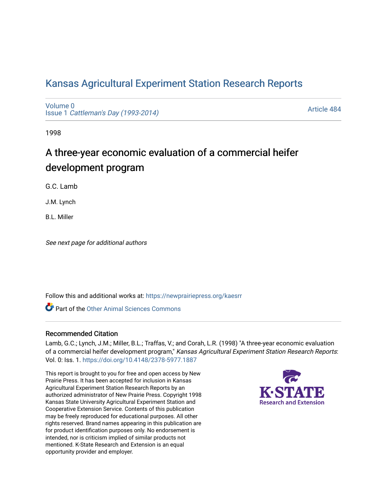# [Kansas Agricultural Experiment Station Research Reports](https://newprairiepress.org/kaesrr)

[Volume 0](https://newprairiepress.org/kaesrr/vol0) Issue 1 [Cattleman's Day \(1993-2014\)](https://newprairiepress.org/kaesrr/vol0/iss1) 

[Article 484](https://newprairiepress.org/kaesrr/vol0/iss1/484) 

1998

# A three-year economic evaluation of a commercial heifer development program

G.C. Lamb

J.M. Lynch

B.L. Miller

See next page for additional authors

Follow this and additional works at: [https://newprairiepress.org/kaesrr](https://newprairiepress.org/kaesrr?utm_source=newprairiepress.org%2Fkaesrr%2Fvol0%2Fiss1%2F484&utm_medium=PDF&utm_campaign=PDFCoverPages) 

**C** Part of the [Other Animal Sciences Commons](http://network.bepress.com/hgg/discipline/82?utm_source=newprairiepress.org%2Fkaesrr%2Fvol0%2Fiss1%2F484&utm_medium=PDF&utm_campaign=PDFCoverPages)

#### Recommended Citation

Lamb, G.C.; Lynch, J.M.; Miller, B.L.; Traffas, V.; and Corah, L.R. (1998) "A three-year economic evaluation of a commercial heifer development program," Kansas Agricultural Experiment Station Research Reports: Vol. 0: Iss. 1. <https://doi.org/10.4148/2378-5977.1887>

This report is brought to you for free and open access by New Prairie Press. It has been accepted for inclusion in Kansas Agricultural Experiment Station Research Reports by an authorized administrator of New Prairie Press. Copyright 1998 Kansas State University Agricultural Experiment Station and Cooperative Extension Service. Contents of this publication may be freely reproduced for educational purposes. All other rights reserved. Brand names appearing in this publication are for product identification purposes only. No endorsement is intended, nor is criticism implied of similar products not mentioned. K-State Research and Extension is an equal opportunity provider and employer.

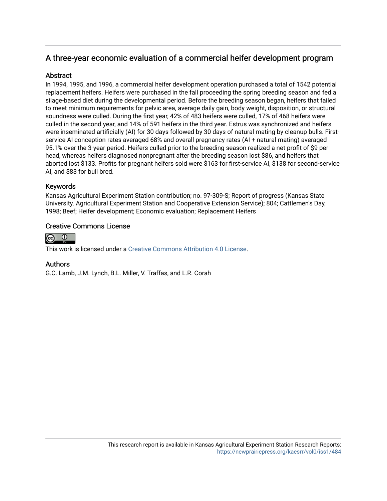# A three-year economic evaluation of a commercial heifer development program

## Abstract

In 1994, 1995, and 1996, a commercial heifer development operation purchased a total of 1542 potential replacement heifers. Heifers were purchased in the fall proceeding the spring breeding season and fed a silage-based diet during the developmental period. Before the breeding season began, heifers that failed to meet minimum requirements for pelvic area, average daily gain, body weight, disposition, or structural soundness were culled. During the first year, 42% of 483 heifers were culled, 17% of 468 heifers were culled in the second year, and 14% of 591 heifers in the third year. Estrus was synchronized and heifers were inseminated artificially (AI) for 30 days followed by 30 days of natural mating by cleanup bulls. Firstservice AI conception rates averaged 68% and overall pregnancy rates (AI + natural mating) averaged 95.1% over the 3-year period. Heifers culled prior to the breeding season realized a net profit of \$9 per head, whereas heifers diagnosed nonpregnant after the breeding season lost \$86, and heifers that aborted lost \$133. Profits for pregnant heifers sold were \$163 for first-service AI, \$138 for second-service AI, and \$83 for bull bred.

# Keywords

Kansas Agricultural Experiment Station contribution; no. 97-309-S; Report of progress (Kansas State University. Agricultural Experiment Station and Cooperative Extension Service); 804; Cattlemen's Day, 1998; Beef; Heifer development; Economic evaluation; Replacement Heifers

# Creative Commons License



This work is licensed under a [Creative Commons Attribution 4.0 License](https://creativecommons.org/licenses/by/4.0/).

### Authors

G.C. Lamb, J.M. Lynch, B.L. Miller, V. Traffas, and L.R. Corah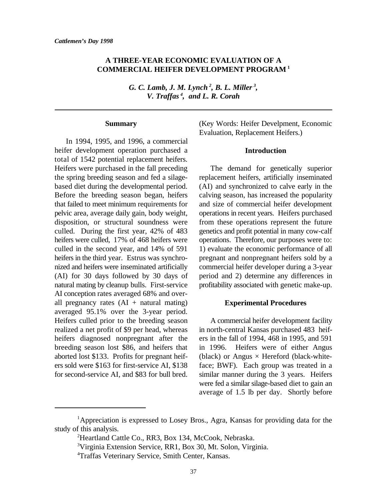## **A THREE-YEAR ECONOMIC EVALUATION OF A COMMERCIAL HEIFER DEVELOPMENT PROGRAM <sup>1</sup>**

*G. C. Lamb, J. M. Lynch , B. L. Miller , 2 3 V. Traffas , and L. R. Corah <sup>4</sup>*

#### **Summary**

In 1994, 1995, and 1996, a commercial heifer development operation purchased a total of 1542 potential replacement heifers. Heifers were purchased in the fall preceding The demand for genetically superior the spring breeding season and fed a silage- replacement heifers, artificially inseminated based diet during the developmental period. (AI) and synchronized to calve early in the Before the breeding season began, heifers calving season, has increased the popularity that failed to meet minimum requirements for and size of commercial heifer development pelvic area, average daily gain, body weight, operations in recent years. Heifers purchased disposition, or structural soundness were from these operations represent the future culled. During the first year, 42% of 483 genetics and profit potential in many cow-calf heifers were culled, 17% of 468 heifers were operations. Therefore, our purposes were to: culled in the second year, and 14% of 591 1) evaluate the economic performance of all heifers in the third year. Estrus was synchro-<br>pregnant and nonpregnant heifers sold by a nized and heifers were inseminated artificially commercial heifer developer during a 3-year (AI) for 30 days followed by 30 days of period and 2) determine any differences in natural mating by cleanup bulls. First-service profitability associated with genetic make-up. AI conception rates averaged 68% and overall pregnancy rates  $(AI + natural *matural*)$ averaged 95.1% over the 3-year period. Heifers culled prior to the breeding season A commercial heifer development facility realized a net profit of \$9 per head, whereas in north-central Kansas purchased 483 heifheifers diagnosed nonpregnant after the ers in the fall of 1994, 468 in 1995, and 591 breeding season lost \$86, and heifers that in 1996. Heifers were of either Angus aborted lost \$133. Profits for pregnant heif- (black) or Angus  $\times$  Hereford (black-whiteers sold were \$163 for first-service AI, \$138 face; BWF). Each group was treated in a for second-service AI, and \$83 for bull bred. similar manner during the 3 years. Heifers

(Key Words: Heifer Develpment, Economic Evaluation, Replacement Heifers.)

#### **Introduction**

#### **Experimental Procedures**

were fed a similar silage-based diet to gain an average of 1.5 lb per day. Shortly before

<sup>&</sup>lt;sup>1</sup>Appreciation is expressed to Losey Bros., Agra, Kansas for providing data for the study of this analysis.

<sup>&</sup>lt;sup>2</sup>Heartland Cattle Co., RR3, Box 134, McCook, Nebraska.

<sup>&</sup>lt;sup>3</sup>Virginia Extension Service, RR1, Box 30, Mt. Solon, Virginia.

Traffas Veterinary Service, Smith Center, Kansas. <sup>4</sup>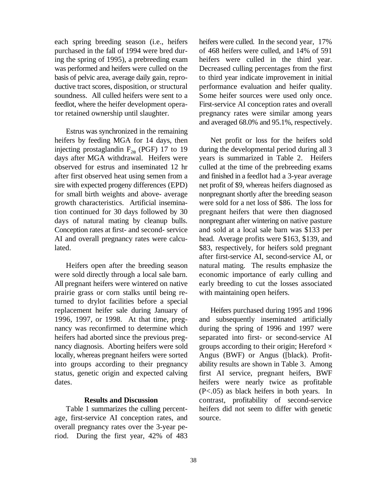purchased in the fall of 1994 were bred dur- of 468 heifers were culled, and 14% of 591 ing the spring of 1995), a prebreeding exam heifers were culled in the third year. was performed and heifers were culled on the Decreased culling percentages from the first basis of pelvic area, average daily gain, repro- to third year indicate improvement in initial ductive tract scores, disposition, or structural performance evaluation and heifer quality. soundness. All culled heifers were sent to a Some heifer sources were used only once. feedlot, where the heifer development opera- First-service AI conception rates and overall tor retained ownership until slaughter. pregnancy rates were similar among years

Estrus was synchronized in the remaining heifers by feeding MGA for 14 days, then Net profit or loss for the heifers sold injecting prostaglandin  $F_{2\alpha}$  (PGF) 17 to 19 days after MGA withdrawal. Heifers were years is summarized in Table 2. Heifers observed for estrus and inseminated 12 hr culled at the time of the prebreeding exams after first observed heat using semen from a and finished in a feedlot had a 3-year average sire with expected progeny differences (EPD) net profit of \$9, whereas heifers diagnosed as for small birth weights and above- average nonpregnant shortly after the breeding season tion continued for 30 days followed by 30 pregnant heifers that were then diagnosed AI and overall pregnancy rates were calcu- head. Average profits were \$163, \$139, and lated. \$83, respectively, for heifers sold pregnant

were sold directly through a local sale barn. economic importance of early culling and All pregnant heifers were wintered on native early breeding to cut the losses associated prairie grass or corn stalks until being re- with maintaining open heifers. turned to drylot facilities before a special replacement heifer sale during January of Heifers purchased during 1995 and 1996 nancy was reconfirmed to determine which during the spring of 1996 and 1997 were heifers had aborted since the previous preg-<br>separated into first- or second-service AI locally, whereas pregnant heifers were sorted Angus (BWF) or Angus ([black). Profitinto groups according to their pregnancy ability results are shown in Table 3. Among dates. **heifers** were nearly twice as profitable

#### **Results and Discussion**

age, first-service AI conception rates, and source. overall pregnancy rates over the 3-year period. During the first year, 42% of 483

each spring breeding season (i.e., heifers heifers were culled. In the second year, 17% and averaged 68.0% and 95.1%, respectively.

during the developmental period during all 3 growth characteristics. Artificial insemina- were sold for a net loss of \$86. The loss for days of natural mating by cleanup bulls. nonpregnant after wintering on native pasture Conception rates at first- and second- service and sold at a local sale barn was \$133 per Heifers open after the breeding season natural mating. The results emphasize the after first-service AI, second-service AI, or

1996, 1997, or 1998. At that time, preg- and subsequently inseminated artificially nancy diagnosis. Aborting heifers were sold groups according to their origin; Hereford  $\times$ status, genetic origin and expected calving first AI service, pregnant heifers, BWF Table 1 summarizes the culling percent- heifers did not seem to differ with genetic (P<.05) as black heifers in both years. In contrast, profitability of second-service